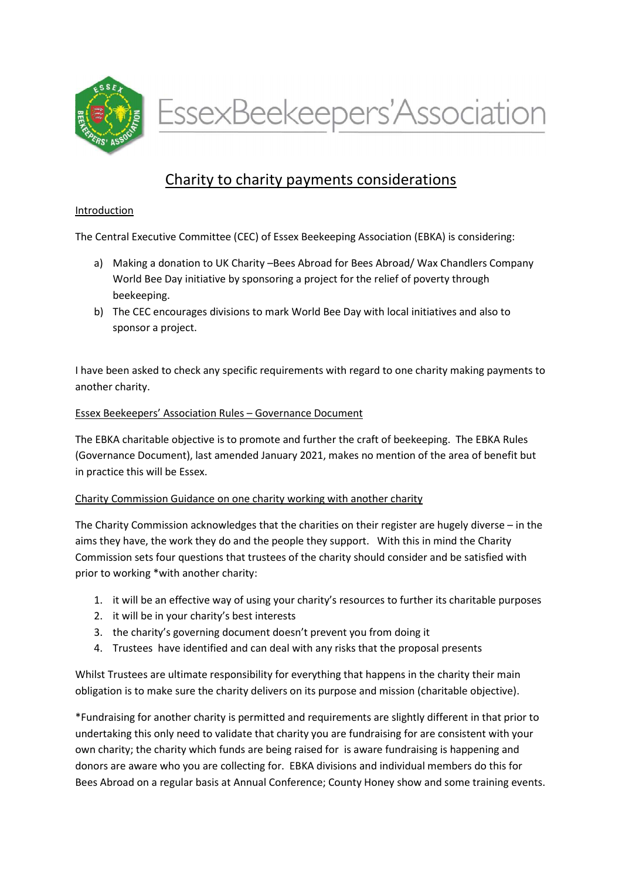

EssexBeekeepers'Association

# Charity to charity payments considerations

### Introduction

The Central Executive Committee (CEC) of Essex Beekeeping Association (EBKA) is considering:

- a) Making a donation to UK Charity –Bees Abroad for Bees Abroad/ Wax Chandlers Company World Bee Day initiative by sponsoring a project for the relief of poverty through beekeeping.
- b) The CEC encourages divisions to mark World Bee Day with local initiatives and also to sponsor a project.

I have been asked to check any specific requirements with regard to one charity making payments to another charity.

#### Essex Beekeepers' Association Rules – Governance Document

The EBKA charitable objective is to promote and further the craft of beekeeping. The EBKA Rules (Governance Document), last amended January 2021, makes no mention of the area of benefit but in practice this will be Essex.

## Charity Commission Guidance on one charity working with another charity

The Charity Commission acknowledges that the charities on their register are hugely diverse – in the aims they have, the work they do and the people they support. With this in mind the Charity Commission sets four questions that trustees of the charity should consider and be satisfied with prior to working \*with another charity:

- 1. it will be an effective way of using your charity's resources to further its charitable purposes
- 2. it will be in your charity's best interests
- 3. the charity's governing document doesn't prevent you from doing it
- 4. Trustees have identified and can deal with any risks that the proposal presents

Whilst Trustees are ultimate responsibility for everything that happens in the charity their main obligation is to make sure the charity delivers on its purpose and mission (charitable objective).

\*Fundraising for another charity is permitted and requirements are slightly different in that prior to undertaking this only need to validate that charity you are fundraising for are consistent with your own charity; the charity which funds are being raised for is aware fundraising is happening and donors are aware who you are collecting for. EBKA divisions and individual members do this for Bees Abroad on a regular basis at Annual Conference; County Honey show and some training events.